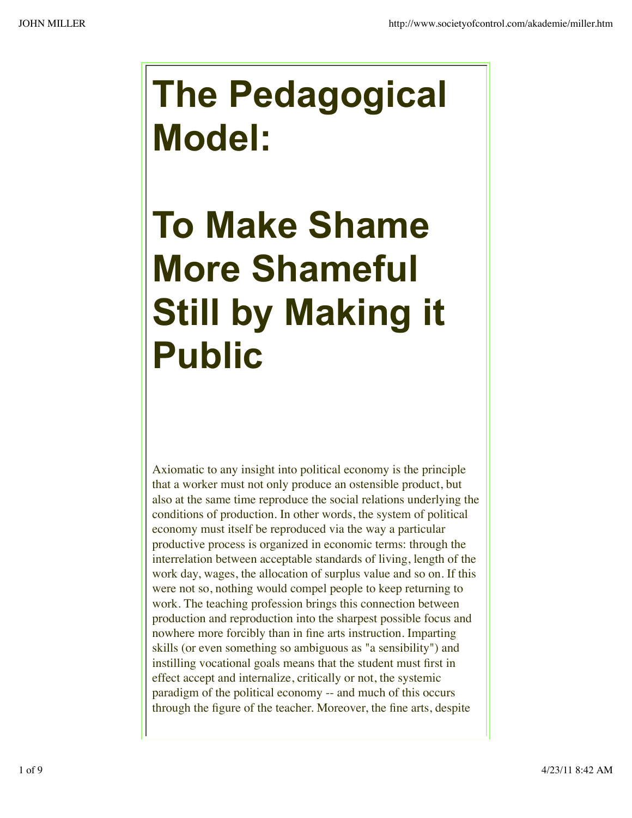## **The Pedagogical Model:**

## **To Make Shame More Shameful Still by Making it Public**

Axiomatic to any insight into political economy is the principle that a worker must not only produce an ostensible product, but also at the same time reproduce the social relations underlying the conditions of production. In other words, the system of political economy must itself be reproduced via the way a particular productive process is organized in economic terms: through the interrelation between acceptable standards of living, length of the work day, wages, the allocation of surplus value and so on. If this were not so, nothing would compel people to keep returning to work. The teaching profession brings this connection between production and reproduction into the sharpest possible focus and nowhere more forcibly than in fine arts instruction. Imparting skills (or even something so ambiguous as "a sensibility") and instilling vocational goals means that the student must first in effect accept and internalize, critically or not, the systemic paradigm of the political economy -- and much of this occurs through the figure of the teacher. Moreover, the fine arts, despite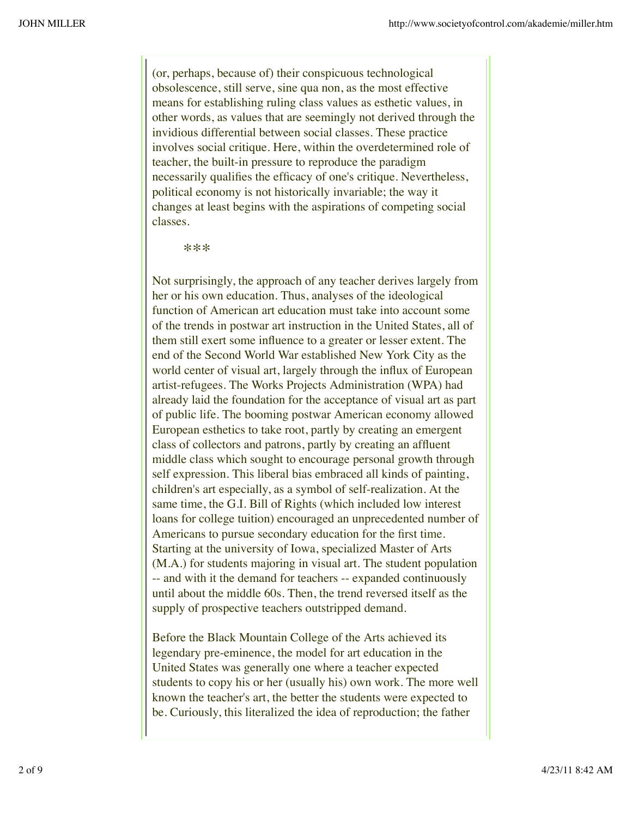(or, perhaps, because of) their conspicuous technological obsolescence, still serve, sine qua non, as the most effective means for establishing ruling class values as esthetic values, in other words, as values that are seemingly not derived through the invidious differential between social classes. These practice involves social critique. Here, within the overdetermined role of teacher, the built-in pressure to reproduce the paradigm necessarily qualifies the efficacy of one's critique. Nevertheless, political economy is not historically invariable; the way it changes at least begins with the aspirations of competing social classes.

## \*\*\*

Not surprisingly, the approach of any teacher derives largely from her or his own education. Thus, analyses of the ideological function of American art education must take into account some of the trends in postwar art instruction in the United States, all of them still exert some influence to a greater or lesser extent. The end of the Second World War established New York City as the world center of visual art, largely through the influx of European artist-refugees. The Works Projects Administration (WPA) had already laid the foundation for the acceptance of visual art as part of public life. The booming postwar American economy allowed European esthetics to take root, partly by creating an emergent class of collectors and patrons, partly by creating an affluent middle class which sought to encourage personal growth through self expression. This liberal bias embraced all kinds of painting, children's art especially, as a symbol of self-realization. At the same time, the G.I. Bill of Rights (which included low interest loans for college tuition) encouraged an unprecedented number of Americans to pursue secondary education for the first time. Starting at the university of Iowa, specialized Master of Arts (M.A.) for students majoring in visual art. The student population -- and with it the demand for teachers -- expanded continuously until about the middle 60s. Then, the trend reversed itself as the supply of prospective teachers outstripped demand.

Before the Black Mountain College of the Arts achieved its legendary pre-eminence, the model for art education in the United States was generally one where a teacher expected students to copy his or her (usually his) own work. The more well known the teacher's art, the better the students were expected to be. Curiously, this literalized the idea of reproduction; the father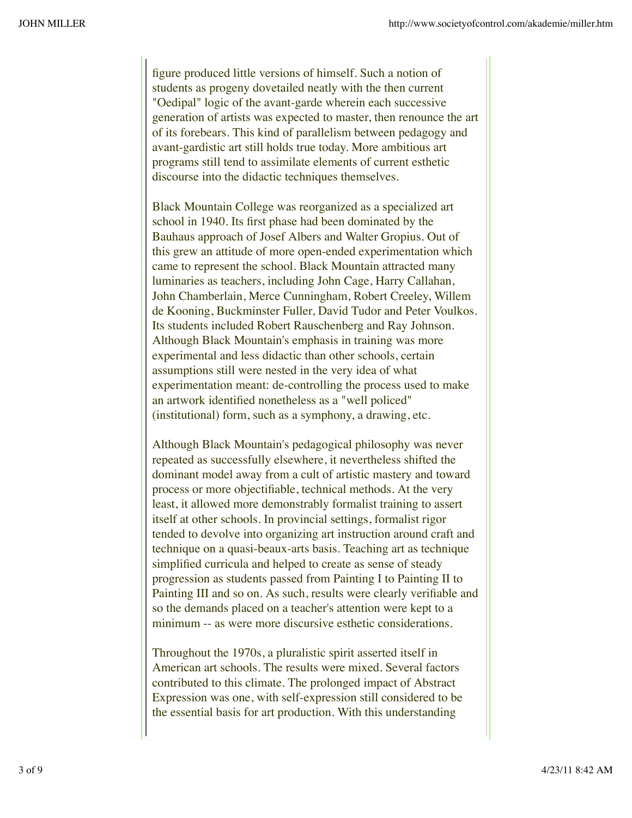figure produced little versions of himself. Such a notion of students as progeny dovetailed neatly with the then current "Oedipal" logic of the avant-garde wherein each successive generation of artists was expected to master, then renounce the art of its forebears. This kind of parallelism between pedagogy and avant-gardistic art still holds true today. More ambitious art programs still tend to assimilate elements of current esthetic discourse into the didactic techniques themselves.

Black Mountain College was reorganized as a specialized art school in 1940. Its first phase had been dominated by the Bauhaus approach of Josef Albers and Walter Gropius. Out of this grew an attitude of more open-ended experimentation which came to represent the school. Black Mountain attracted many luminaries as teachers, including John Cage, Harry Callahan, John Chamberlain, Merce Cunningham, Robert Creeley, Willem de Kooning, Buckminster Fuller, David Tudor and Peter Voulkos. Its students included Robert Rauschenberg and Ray Johnson. Although Black Mountain's emphasis in training was more experimental and less didactic than other schools, certain assumptions still were nested in the very idea of what experimentation meant: de-controlling the process used to make an artwork identified nonetheless as a "well policed" (institutional) form, such as a symphony, a drawing, etc.

Although Black Mountain's pedagogical philosophy was never repeated as successfully elsewhere, it nevertheless shifted the dominant model away from a cult of artistic mastery and toward process or more objectifiable, technical methods. At the very least, it allowed more demonstrably formalist training to assert itself at other schools. In provincial settings, formalist rigor tended to devolve into organizing art instruction around craft and technique on a quasi-beaux-arts basis. Teaching art as technique simplified curricula and helped to create as sense of steady progression as students passed from Painting I to Painting II to Painting III and so on. As such, results were clearly verifiable and so the demands placed on a teacher's attention were kept to a minimum -- as were more discursive esthetic considerations.

Throughout the 1970s, a pluralistic spirit asserted itself in American art schools. The results were mixed. Several factors contributed to this climate. The prolonged impact of Abstract Expression was one, with self-expression still considered to be the essential basis for art production. With this understanding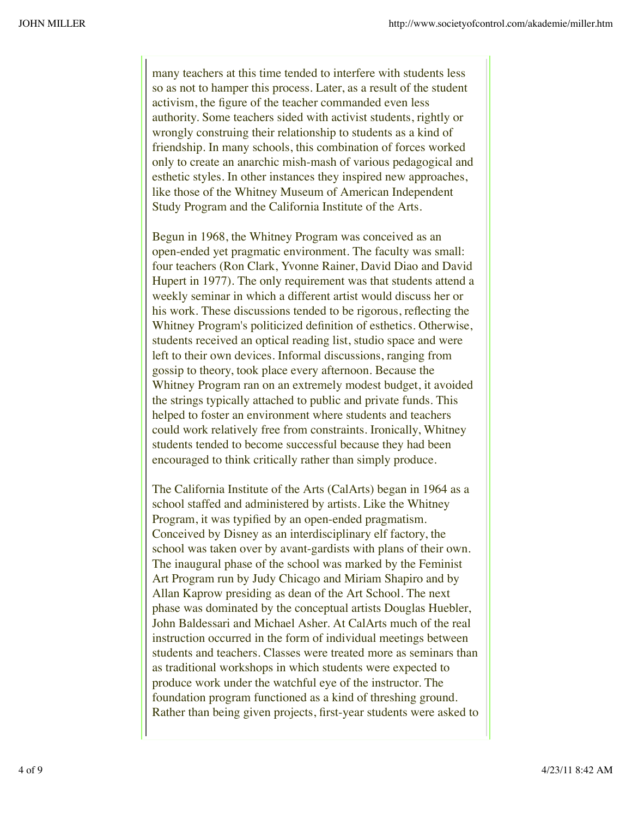many teachers at this time tended to interfere with students less so as not to hamper this process. Later, as a result of the student activism, the figure of the teacher commanded even less authority. Some teachers sided with activist students, rightly or wrongly construing their relationship to students as a kind of friendship. In many schools, this combination of forces worked only to create an anarchic mish-mash of various pedagogical and esthetic styles. In other instances they inspired new approaches, like those of the Whitney Museum of American Independent Study Program and the California Institute of the Arts.

Begun in 1968, the Whitney Program was conceived as an open-ended yet pragmatic environment. The faculty was small: four teachers (Ron Clark, Yvonne Rainer, David Diao and David Hupert in 1977). The only requirement was that students attend a weekly seminar in which a different artist would discuss her or his work. These discussions tended to be rigorous, reflecting the Whitney Program's politicized definition of esthetics. Otherwise, students received an optical reading list, studio space and were left to their own devices. Informal discussions, ranging from gossip to theory, took place every afternoon. Because the Whitney Program ran on an extremely modest budget, it avoided the strings typically attached to public and private funds. This helped to foster an environment where students and teachers could work relatively free from constraints. Ironically, Whitney students tended to become successful because they had been encouraged to think critically rather than simply produce.

The California Institute of the Arts (CalArts) began in 1964 as a school staffed and administered by artists. Like the Whitney Program, it was typified by an open-ended pragmatism. Conceived by Disney as an interdisciplinary elf factory, the school was taken over by avant-gardists with plans of their own. The inaugural phase of the school was marked by the Feminist Art Program run by Judy Chicago and Miriam Shapiro and by Allan Kaprow presiding as dean of the Art School. The next phase was dominated by the conceptual artists Douglas Huebler, John Baldessari and Michael Asher. At CalArts much of the real instruction occurred in the form of individual meetings between students and teachers. Classes were treated more as seminars than as traditional workshops in which students were expected to produce work under the watchful eye of the instructor. The foundation program functioned as a kind of threshing ground. Rather than being given projects, first-year students were asked to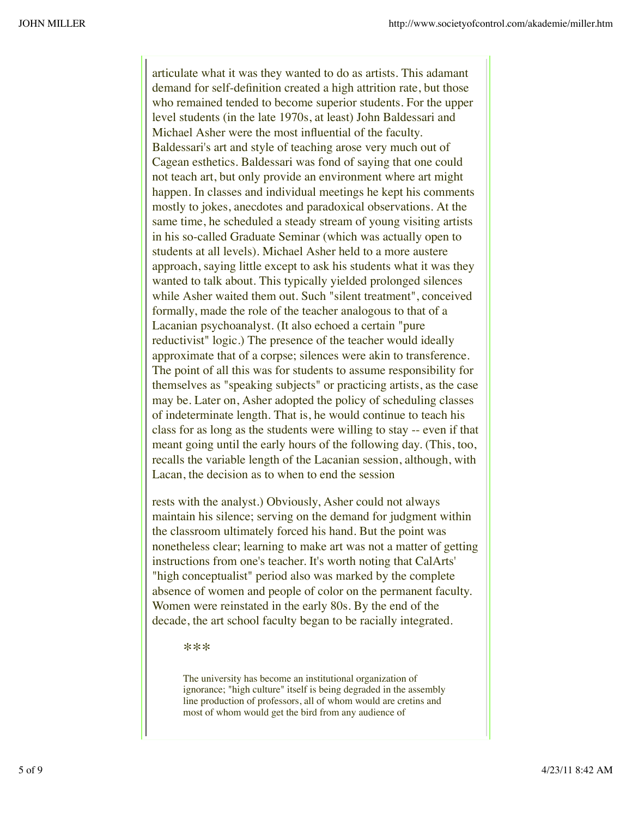articulate what it was they wanted to do as artists. This adamant demand for self-definition created a high attrition rate, but those who remained tended to become superior students. For the upper level students (in the late 1970s, at least) John Baldessari and Michael Asher were the most influential of the faculty. Baldessari's art and style of teaching arose very much out of Cagean esthetics. Baldessari was fond of saying that one could not teach art, but only provide an environment where art might happen. In classes and individual meetings he kept his comments mostly to jokes, anecdotes and paradoxical observations. At the same time, he scheduled a steady stream of young visiting artists in his so-called Graduate Seminar (which was actually open to students at all levels). Michael Asher held to a more austere approach, saying little except to ask his students what it was they wanted to talk about. This typically yielded prolonged silences while Asher waited them out. Such "silent treatment", conceived formally, made the role of the teacher analogous to that of a Lacanian psychoanalyst. (It also echoed a certain "pure reductivist" logic.) The presence of the teacher would ideally approximate that of a corpse; silences were akin to transference. The point of all this was for students to assume responsibility for themselves as "speaking subjects" or practicing artists, as the case may be. Later on, Asher adopted the policy of scheduling classes of indeterminate length. That is, he would continue to teach his class for as long as the students were willing to stay -- even if that meant going until the early hours of the following day. (This, too, recalls the variable length of the Lacanian session, although, with Lacan, the decision as to when to end the session

rests with the analyst.) Obviously, Asher could not always maintain his silence; serving on the demand for judgment within the classroom ultimately forced his hand. But the point was nonetheless clear; learning to make art was not a matter of getting instructions from one's teacher. It's worth noting that CalArts' "high conceptualist" period also was marked by the complete absence of women and people of color on the permanent faculty. Women were reinstated in the early 80s. By the end of the decade, the art school faculty began to be racially integrated.

\*\*\*

The university has become an institutional organization of ignorance; "high culture" itself is being degraded in the assembly line production of professors, all of whom would are cretins and most of whom would get the bird from any audience of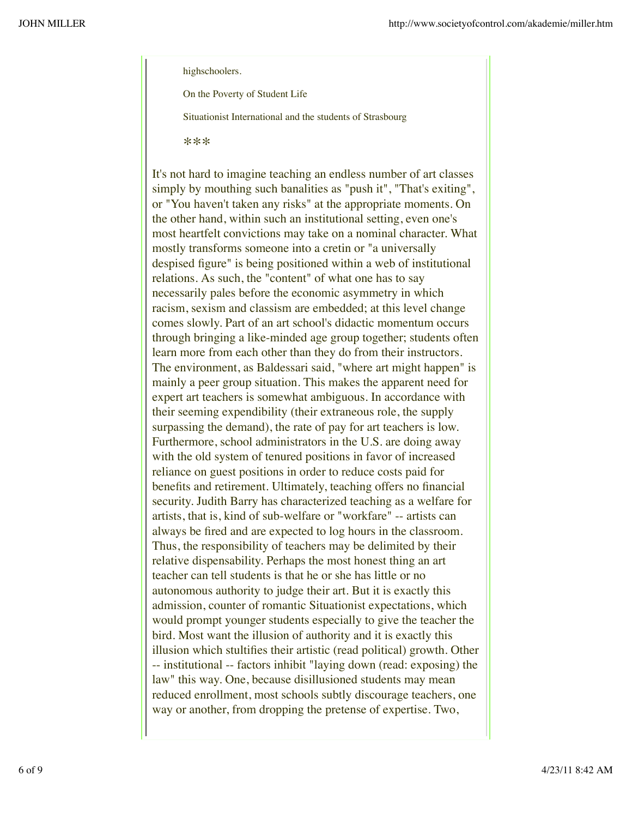highschoolers.

On the Poverty of Student Life

Situationist International and the students of Strasbourg

\*\*\*

It's not hard to imagine teaching an endless number of art classes simply by mouthing such banalities as "push it", "That's exiting", or "You haven't taken any risks" at the appropriate moments. On the other hand, within such an institutional setting, even one's most heartfelt convictions may take on a nominal character. What mostly transforms someone into a cretin or "a universally despised figure" is being positioned within a web of institutional relations. As such, the "content" of what one has to say necessarily pales before the economic asymmetry in which racism, sexism and classism are embedded; at this level change comes slowly. Part of an art school's didactic momentum occurs through bringing a like-minded age group together; students often learn more from each other than they do from their instructors. The environment, as Baldessari said, "where art might happen" is mainly a peer group situation. This makes the apparent need for expert art teachers is somewhat ambiguous. In accordance with their seeming expendibility (their extraneous role, the supply surpassing the demand), the rate of pay for art teachers is low. Furthermore, school administrators in the U.S. are doing away with the old system of tenured positions in favor of increased reliance on guest positions in order to reduce costs paid for benefits and retirement. Ultimately, teaching offers no financial security. Judith Barry has characterized teaching as a welfare for artists, that is, kind of sub-welfare or "workfare" -- artists can always be fired and are expected to log hours in the classroom. Thus, the responsibility of teachers may be delimited by their relative dispensability. Perhaps the most honest thing an art teacher can tell students is that he or she has little or no autonomous authority to judge their art. But it is exactly this admission, counter of romantic Situationist expectations, which would prompt younger students especially to give the teacher the bird. Most want the illusion of authority and it is exactly this illusion which stultifies their artistic (read political) growth. Other -- institutional -- factors inhibit "laying down (read: exposing) the law" this way. One, because disillusioned students may mean reduced enrollment, most schools subtly discourage teachers, one way or another, from dropping the pretense of expertise. Two,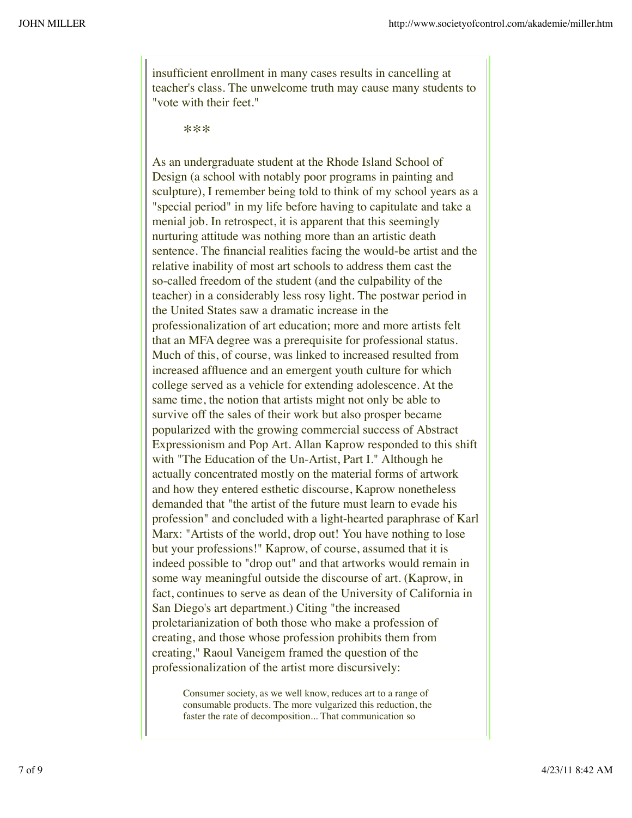insufficient enrollment in many cases results in cancelling at teacher's class. The unwelcome truth may cause many students to "vote with their feet."

\*\*\*

As an undergraduate student at the Rhode Island School of Design (a school with notably poor programs in painting and sculpture), I remember being told to think of my school years as a "special period" in my life before having to capitulate and take a menial job. In retrospect, it is apparent that this seemingly nurturing attitude was nothing more than an artistic death sentence. The financial realities facing the would-be artist and the relative inability of most art schools to address them cast the so-called freedom of the student (and the culpability of the teacher) in a considerably less rosy light. The postwar period in the United States saw a dramatic increase in the professionalization of art education; more and more artists felt that an MFA degree was a prerequisite for professional status. Much of this, of course, was linked to increased resulted from increased affluence and an emergent youth culture for which college served as a vehicle for extending adolescence. At the same time, the notion that artists might not only be able to survive off the sales of their work but also prosper became popularized with the growing commercial success of Abstract Expressionism and Pop Art. Allan Kaprow responded to this shift with "The Education of the Un-Artist, Part I." Although he actually concentrated mostly on the material forms of artwork and how they entered esthetic discourse, Kaprow nonetheless demanded that "the artist of the future must learn to evade his profession" and concluded with a light-hearted paraphrase of Karl Marx: "Artists of the world, drop out! You have nothing to lose but your professions!" Kaprow, of course, assumed that it is indeed possible to "drop out" and that artworks would remain in some way meaningful outside the discourse of art. (Kaprow, in fact, continues to serve as dean of the University of California in San Diego's art department.) Citing "the increased proletarianization of both those who make a profession of creating, and those whose profession prohibits them from creating," Raoul Vaneigem framed the question of the professionalization of the artist more discursively:

Consumer society, as we well know, reduces art to a range of consumable products. The more vulgarized this reduction, the faster the rate of decomposition... That communication so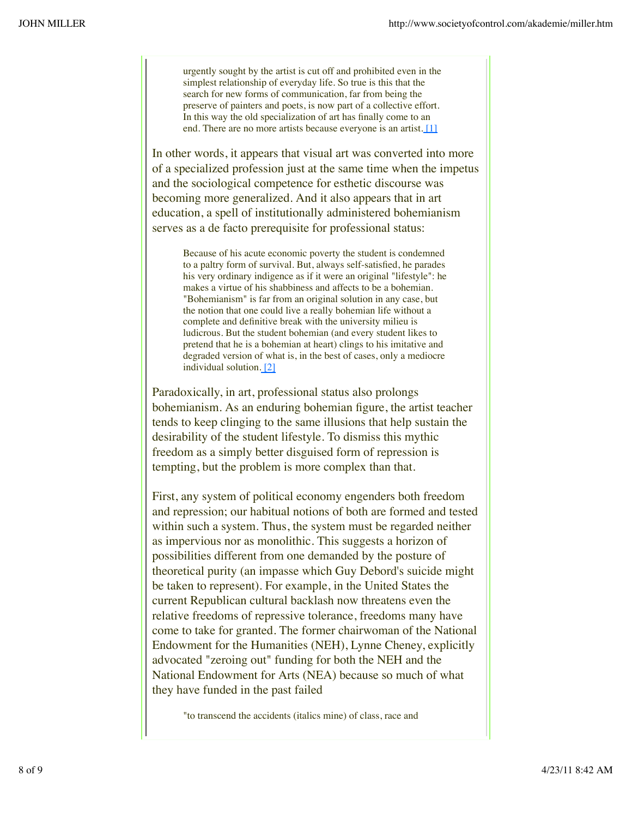urgently sought by the artist is cut off and prohibited even in the simplest relationship of everyday life. So true is this that the search for new forms of communication, far from being the preserve of painters and poets, is now part of a collective effort. In this way the old specialization of art has finally come to an end. There are no more artists because everyone is an artist. [1]

In other words, it appears that visual art was converted into more of a specialized profession just at the same time when the impetus and the sociological competence for esthetic discourse was becoming more generalized. And it also appears that in art education, a spell of institutionally administered bohemianism serves as a de facto prerequisite for professional status:

Because of his acute economic poverty the student is condemned to a paltry form of survival. But, always self-satisfied, he parades his very ordinary indigence as if it were an original "lifestyle": he makes a virtue of his shabbiness and affects to be a bohemian. "Bohemianism" is far from an original solution in any case, but the notion that one could live a really bohemian life without a complete and definitive break with the university milieu is ludicrous. But the student bohemian (and every student likes to pretend that he is a bohemian at heart) clings to his imitative and degraded version of what is, in the best of cases, only a mediocre individual solution. [2]

Paradoxically, in art, professional status also prolongs bohemianism. As an enduring bohemian figure, the artist teacher tends to keep clinging to the same illusions that help sustain the desirability of the student lifestyle. To dismiss this mythic freedom as a simply better disguised form of repression is tempting, but the problem is more complex than that.

First, any system of political economy engenders both freedom and repression; our habitual notions of both are formed and tested within such a system. Thus, the system must be regarded neither as impervious nor as monolithic. This suggests a horizon of possibilities different from one demanded by the posture of theoretical purity (an impasse which Guy Debord's suicide might be taken to represent). For example, in the United States the current Republican cultural backlash now threatens even the relative freedoms of repressive tolerance, freedoms many have come to take for granted. The former chairwoman of the National Endowment for the Humanities (NEH), Lynne Cheney, explicitly advocated "zeroing out" funding for both the NEH and the National Endowment for Arts (NEA) because so much of what they have funded in the past failed

"to transcend the accidents (italics mine) of class, race and